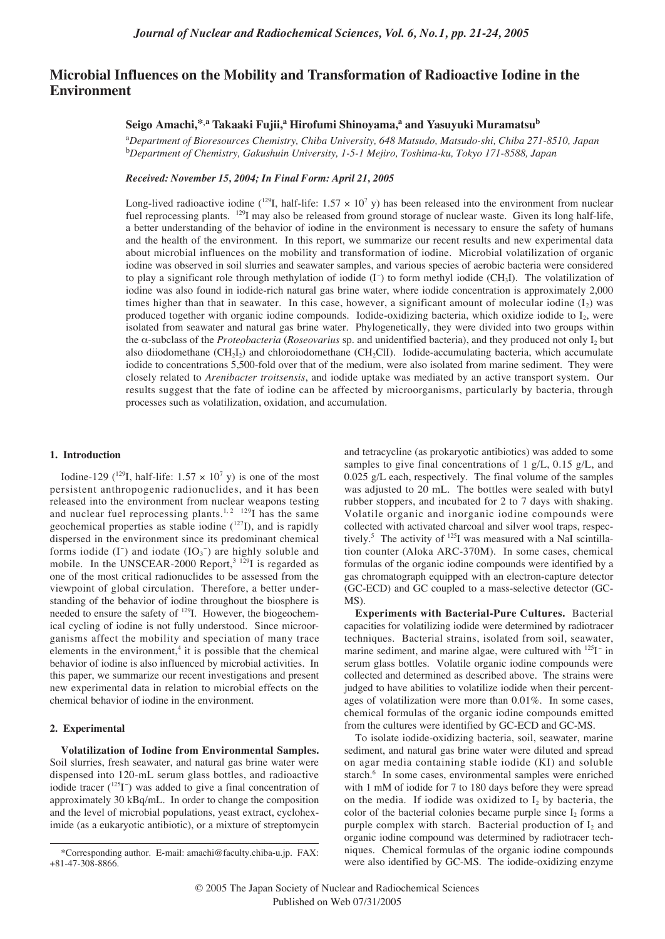# **Microbial Influences on the Mobility and Transformation of Radioactive Iodine in the Environment**

# Seigo Amachi,<sup>\*,a</sup> Takaaki Fujii,<sup>a</sup> Hirofumi Shinoyama,<sup>a</sup> and Yasuyuki Muramatsu<sup>b</sup>

a *Department of Bioresources Chemistry, Chiba University, 648 Matsudo, Matsudo-shi, Chiba 271-8510, Japan* b *Department of Chemistry, Gakushuin University, 1-5-1 Mejiro, Toshima-ku, Tokyo 171-8588, Japan*

*Received: November 15, 2004; In Final Form: April 21, 2005*

Long-lived radioactive iodine (<sup>129</sup>I, half-life: 1.57  $\times$  10<sup>7</sup> y) has been released into the environment from nuclear fuel reprocessing plants. <sup>129</sup>I may also be released from ground storage of nuclear waste. Given its long half-life, a better understanding of the behavior of iodine in the environment is necessary to ensure the safety of humans and the health of the environment. In this report, we summarize our recent results and new experimental data about microbial influences on the mobility and transformation of iodine. Microbial volatilization of organic iodine was observed in soil slurries and seawater samples, and various species of aerobic bacteria were considered to play a significant role through methylation of iodide (I<sup>−</sup> ) to form methyl iodide (CH3I). The volatilization of iodine was also found in iodide-rich natural gas brine water, where iodide concentration is approximately 2,000 times higher than that in seawater. In this case, however, a significant amount of molecular iodine  $(I_2)$  was produced together with organic iodine compounds. Iodide-oxidizing bacteria, which oxidize iodide to  $I_2$ , were isolated from seawater and natural gas brine water. Phylogenetically, they were divided into two groups within the α-subclass of the *Proteobacteria* (*Roseovarius* sp. and unidentified bacteria), and they produced not only I<sub>2</sub> but also diiodomethane  $(CH_2I_2)$  and chloroiodomethane  $(CH_2CII)$ . Iodide-accumulating bacteria, which accumulate iodide to concentrations 5,500-fold over that of the medium, were also isolated from marine sediment. They were closely related to *Arenibacter troitsensis*, and iodide uptake was mediated by an active transport system. Our results suggest that the fate of iodine can be affected by microorganisms, particularly by bacteria, through processes such as volatilization, oxidation, and accumulation.

### **1. Introduction**

Iodine-129 (<sup>129</sup>I, half-life:  $1.57 \times 10^7$  y) is one of the most persistent anthropogenic radionuclides, and it has been released into the environment from nuclear weapons testing and nuclear fuel reprocessing plants.<sup>1, 2</sup> <sup>129</sup>I has the same geochemical properties as stable iodine  $(127)$ , and is rapidly dispersed in the environment since its predominant chemical forms iodide  $(I^-)$  and iodate  $(IO_3^-)$  are highly soluble and mobile. In the UNSCEAR-2000 Report,<sup>3 129</sup>I is regarded as one of the most critical radionuclides to be assessed from the viewpoint of global circulation. Therefore, a better understanding of the behavior of iodine throughout the biosphere is needed to ensure the safety of 129I. However, the biogeochemical cycling of iodine is not fully understood. Since microorganisms affect the mobility and speciation of many trace elements in the environment, $4$  it is possible that the chemical behavior of iodine is also influenced by microbial activities. In this paper, we summarize our recent investigations and present new experimental data in relation to microbial effects on the chemical behavior of iodine in the environment.

# **2. Experimental**

**Volatilization of Iodine from Environmental Samples.** Soil slurries, fresh seawater, and natural gas brine water were dispensed into 120-mL serum glass bottles, and radioactive iodide tracer (<sup>125</sup>I<sup>-</sup>) was added to give a final concentration of approximately 30 kBq/mL. In order to change the composition and the level of microbial populations, yeast extract, cycloheximide (as a eukaryotic antibiotic), or a mixture of streptomycin

and tetracycline (as prokaryotic antibiotics) was added to some samples to give final concentrations of 1 g/L, 0.15 g/L, and 0.025 g/L each, respectively. The final volume of the samples was adjusted to 20 mL. The bottles were sealed with butyl rubber stoppers, and incubated for 2 to 7 days with shaking. Volatile organic and inorganic iodine compounds were collected with activated charcoal and silver wool traps, respectively.<sup>5</sup> The activity of  $125$ I was measured with a NaI scintillation counter (Aloka ARC-370M). In some cases, chemical formulas of the organic iodine compounds were identified by a gas chromatograph equipped with an electron-capture detector (GC-ECD) and GC coupled to a mass-selective detector (GC- $MS$ ).

**Experiments with Bacterial-Pure Cultures.** Bacterial capacities for volatilizing iodide were determined by radiotracer techniques. Bacterial strains, isolated from soil, seawater, marine sediment, and marine algae, were cultured with <sup>125</sup>I<sup>−</sup> in serum glass bottles. Volatile organic iodine compounds were collected and determined as described above. The strains were judged to have abilities to volatilize iodide when their percentages of volatilization were more than 0.01%. In some cases, chemical formulas of the organic iodine compounds emitted from the cultures were identified by GC-ECD and GC-MS.

To isolate iodide-oxidizing bacteria, soil, seawater, marine sediment, and natural gas brine water were diluted and spread on agar media containing stable iodide (KI) and soluble starch.<sup>6</sup> In some cases, environmental samples were enriched with 1 mM of iodide for 7 to 180 days before they were spread on the media. If iodide was oxidized to  $I_2$  by bacteria, the color of the bacterial colonies became purple since  $I_2$  forms a purple complex with starch. Bacterial production of  $I_2$  and organic iodine compound was determined by radiotracer techniques. Chemical formulas of the organic iodine compounds were also identified by GC-MS. The iodide-oxidizing enzyme

<sup>\*</sup>Corresponding author. E-mail: amachi@faculty.chiba-u.jp. FAX: +81-47-308-8866.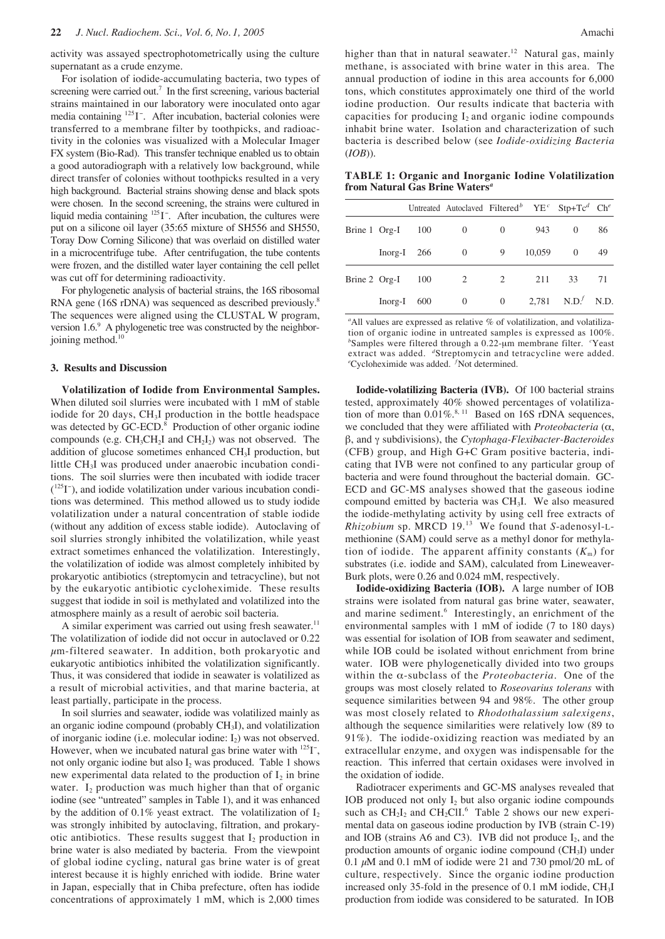activity was assayed spectrophotometrically using the culture supernatant as a crude enzyme.

For isolation of iodide-accumulating bacteria, two types of screening were carried out.<sup>7</sup> In the first screening, various bacterial strains maintained in our laboratory were inoculated onto agar media containing <sup>125</sup>I<sup>-</sup>. After incubation, bacterial colonies were transferred to a membrane filter by toothpicks, and radioactivity in the colonies was visualized with a Molecular Imager FX system (Bio-Rad). This transfer technique enabled us to obtain a good autoradiograph with a relatively low background, while direct transfer of colonies without toothpicks resulted in a very high background. Bacterial strains showing dense and black spots were chosen. In the second screening, the strains were cultured in liquid media containing <sup>125</sup>I<sup>-</sup>. After incubation, the cultures were put on a silicone oil layer (35:65 mixture of SH556 and SH550, Toray Dow Corning Silicone) that was overlaid on distilled water in a microcentrifuge tube. After centrifugation, the tube contents were frozen, and the distilled water layer containing the cell pellet was cut off for determining radioactivity.

For phylogenetic analysis of bacterial strains, the 16S ribosomal RNA gene (16S rDNA) was sequenced as described previously.<sup>8</sup> The sequences were aligned using the CLUSTAL W program, version  $1.6<sup>9</sup>$ . A phylogenetic tree was constructed by the neighborjoining method. $<sup>10</sup>$ </sup>

#### **3. Results and Discussion**

**Volatilization of Iodide from Environmental Samples.** When diluted soil slurries were incubated with 1 mM of stable iodide for 20 days, CH<sub>3</sub>I production in the bottle headspace was detected by GC-ECD.<sup>8</sup> Production of other organic iodine compounds (e.g.  $CH_3CH_2I$  and  $CH_2I_2$ ) was not observed. The addition of glucose sometimes enhanced CH3I production, but little CH<sub>3</sub>I was produced under anaerobic incubation conditions. The soil slurries were then incubated with iodide tracer ( 125I − ), and iodide volatilization under various incubation conditions was determined. This method allowed us to study iodide volatilization under a natural concentration of stable iodide (without any addition of excess stable iodide). Autoclaving of soil slurries strongly inhibited the volatilization, while yeast extract sometimes enhanced the volatilization. Interestingly, the volatilization of iodide was almost completely inhibited by prokaryotic antibiotics (streptomycin and tetracycline), but not by the eukaryotic antibiotic cycloheximide. These results suggest that iodide in soil is methylated and volatilized into the atmosphere mainly as a result of aerobic soil bacteria.

A similar experiment was carried out using fresh seawater.<sup>11</sup> The volatilization of iodide did not occur in autoclaved or 0.22  $\mu$ m-filtered seawater. In addition, both prokaryotic and eukaryotic antibiotics inhibited the volatilization significantly. Thus, it was considered that iodide in seawater is volatilized as a result of microbial activities, and that marine bacteria, at least partially, participate in the process.

In soil slurries and seawater, iodide was volatilized mainly as an organic iodine compound (probably CH3I), and volatilization of inorganic iodine (i.e. molecular iodine:  $I_2$ ) was not observed. However, when we incubated natural gas brine water with  $^{125}$ I<sup>-</sup>, not only organic iodine but also  $I_2$  was produced. Table 1 shows new experimental data related to the production of  $I_2$  in brine water.  $I_2$  production was much higher than that of organic iodine (see "untreated" samples in Table 1), and it was enhanced by the addition of 0.1% yeast extract. The volatilization of  $I_2$ was strongly inhibited by autoclaving, filtration, and prokaryotic antibiotics. These results suggest that  $I_2$  production in brine water is also mediated by bacteria. From the viewpoint of global iodine cycling, natural gas brine water is of great interest because it is highly enriched with iodide. Brine water in Japan, especially that in Chiba prefecture, often has iodide concentrations of approximately 1 mM, which is 2,000 times higher than that in natural seawater.<sup>12</sup> Natural gas, mainly methane, is associated with brine water in this area. The annual production of iodine in this area accounts for 6,000 tons, which constitutes approximately one third of the world iodine production. Our results indicate that bacteria with capacities for producing  $I_2$  and organic iodine compounds inhabit brine water. Isolation and characterization of such bacteria is described below (see *Iodide-oxidizing Bacteria* (*IOB*)).

**TABLE 1: Organic and Inorganic Iodine Volatilization from Natural Gas Brine Waters***<sup>a</sup>*

|               |           |               | Untreated Autoclaved Filtered <sup>b</sup> YE <sup>c</sup> Stp+Tc <sup>d</sup> Ch <sup>e</sup> |                |        |                    |    |
|---------------|-----------|---------------|------------------------------------------------------------------------------------------------|----------------|--------|--------------------|----|
| Brine 1 Org-I |           | 100           | $\theta$                                                                                       | $\overline{0}$ | 943    | $\Omega$           | 86 |
|               |           | $Inorg-I$ 266 | $\overline{0}$                                                                                 | 9              | 10,059 | $\theta$           | 49 |
| Brine 2 Org-I |           | 100           | 2                                                                                              | 2              | 211    | 33                 | 71 |
|               | $Inorg-I$ | 600           | $\theta$                                                                                       | $\mathbf{0}$   |        | 2,781 $N.D.f N.D.$ |    |

<sup>a</sup>All values are expressed as relative % of volatilization, and volatilization of organic iodine in untreated samples is expressed as 100%. *b* Samples were filtered through a 0.22-µm membrane filter. *<sup>c</sup>* Yeast extract was added. *<sup>d</sup>* Streptomycin and tetracycline were added. *e* Cycloheximide was added. *<sup>f</sup>* Not determined.

**Iodide-volatilizing Bacteria (IVB).** Of 100 bacterial strains tested, approximately 40% showed percentages of volatilization of more than  $0.01\%$ .<sup>8, 11</sup> Based on 16S rDNA sequences, we concluded that they were affiliated with *Proteobacteria* (α, β, and γ subdivisions), the *Cytophaga-Flexibacter-Bacteroides* (CFB) group, and High G+C Gram positive bacteria, indicating that IVB were not confined to any particular group of bacteria and were found throughout the bacterial domain. GC-ECD and GC-MS analyses showed that the gaseous iodine compound emitted by bacteria was CH3I. We also measured the iodide-methylating activity by using cell free extracts of *Rhizobium* sp. MRCD 19.<sup>13</sup> We found that *S*-adenosyl-Lmethionine (SAM) could serve as a methyl donor for methylation of iodide. The apparent affinity constants  $(K<sub>m</sub>)$  for substrates (i.e. iodide and SAM), calculated from Lineweaver-Burk plots, were 0.26 and 0.024 mM, respectively.

**Iodide-oxidizing Bacteria (IOB).** A large number of IOB strains were isolated from natural gas brine water, seawater, and marine sediment.<sup>6</sup> Interestingly, an enrichment of the environmental samples with 1 mM of iodide (7 to 180 days) was essential for isolation of IOB from seawater and sediment, while IOB could be isolated without enrichment from brine water. IOB were phylogenetically divided into two groups within the α-subclass of the *Proteobacteria*. One of the groups was most closely related to *Roseovarius tolerans* with sequence similarities between 94 and 98%. The other group was most closely related to *Rhodothalassium salexigens*, although the sequence similarities were relatively low (89 to 91%). The iodide-oxidizing reaction was mediated by an extracellular enzyme, and oxygen was indispensable for the reaction. This inferred that certain oxidases were involved in the oxidation of iodide.

Radiotracer experiments and GC-MS analyses revealed that IOB produced not only  $I_2$  but also organic iodine compounds such as  $CH_2I_2$  and  $CH_2CII$ .<sup>6</sup> Table 2 shows our new experimental data on gaseous iodine production by IVB (strain C-19) and IOB (strains A6 and C3). IVB did not produce  $I_2$ , and the production amounts of organic iodine compound (CH3I) under 0.1  $\mu$ M and 0.1 mM of iodide were 21 and 730 pmol/20 mL of culture, respectively. Since the organic iodine production increased only 35-fold in the presence of 0.1 mM iodide, CH3I production from iodide was considered to be saturated. In IOB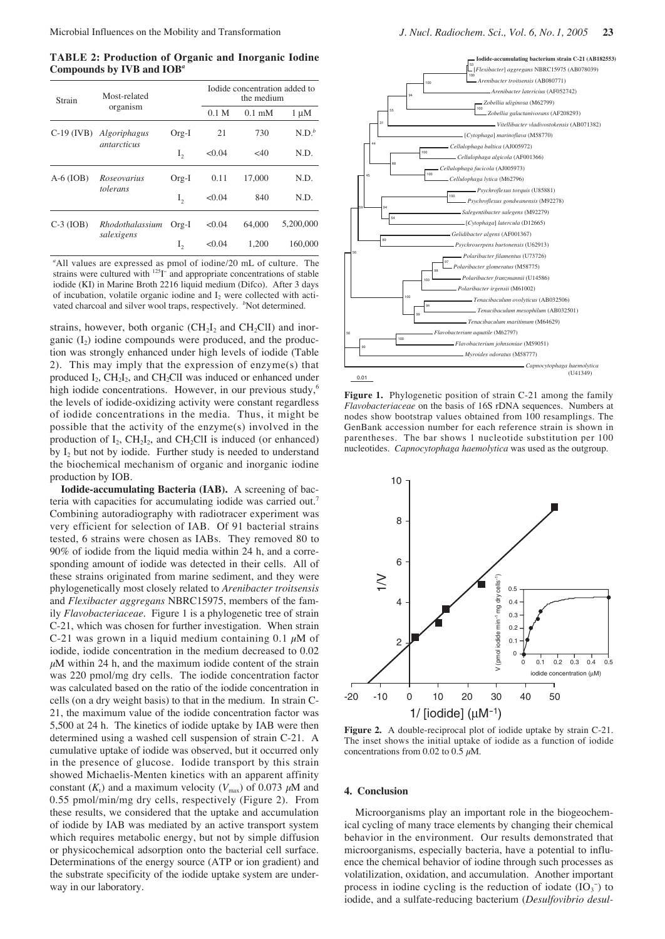**TABLE 2: Production of Organic and Inorganic Iodine Compounds by IVB and IOB***<sup>a</sup>*

| Strain       | Most-related       |         |                  | Iodide concentration added to<br>the medium |           |  |
|--------------|--------------------|---------|------------------|---------------------------------------------|-----------|--|
|              | organism           |         | 0.1 <sub>M</sub> | $0.1 \text{ mM}$                            | $1 \mu M$ |  |
| $C-19$ (IVB) | Algoriphagus       | $Org-I$ | 21               | 730                                         | $N.D.^b$  |  |
|              | <i>antarcticus</i> | $I_{2}$ | < 0.04           | $<$ 40                                      | N.D.      |  |
| $A-6$ (IOB)  | Roseovarius        | $Org-I$ | 0.11             | 17,000                                      | N.D.      |  |
|              | tolerans           | I,      | < 0.04           | 840                                         | N.D.      |  |
| $C-3$ (IOB)  | Rhodothalassium    | $Org-I$ | < 0.04           | 64,000                                      | 5,200,000 |  |
|              | salexigens         | I,      | < 0.04           | 1.200                                       | 160,000   |  |

*a* All values are expressed as pmol of iodine/20 mL of culture. The strains were cultured with <sup>125</sup>I<sup>-</sup> and appropriate concentrations of stable iodide (KI) in Marine Broth 2216 liquid medium (Difco). After 3 days of incubation, volatile organic iodine and  $I_2$  were collected with activated charcoal and silver wool traps, respectively. <sup>b</sup>Not determined.

strains, however, both organic  $(CH<sub>2</sub>I<sub>2</sub>$  and CH<sub>2</sub>ClI) and inorganic  $(I_2)$  iodine compounds were produced, and the production was strongly enhanced under high levels of iodide (Table 2). This may imply that the expression of enzyme(s) that produced  $I_2$ , CH<sub>2</sub> $I_2$ , and CH<sub>2</sub>ClI was induced or enhanced under high iodide concentrations. However, in our previous study,<sup>6</sup> the levels of iodide-oxidizing activity were constant regardless of iodide concentrations in the media. Thus, it might be possible that the activity of the enzyme(s) involved in the production of  $I_2$ ,  $CH_2I_2$ , and  $CH_2CII$  is induced (or enhanced) by  $I_2$  but not by iodide. Further study is needed to understand the biochemical mechanism of organic and inorganic iodine production by IOB.

**Iodide-accumulating Bacteria (IAB).** A screening of bacteria with capacities for accumulating iodide was carried out.<sup>7</sup> Combining autoradiography with radiotracer experiment was very efficient for selection of IAB. Of 91 bacterial strains tested, 6 strains were chosen as IABs. They removed 80 to 90% of iodide from the liquid media within 24 h, and a corresponding amount of iodide was detected in their cells. All of these strains originated from marine sediment, and they were phylogenetically most closely related to *Arenibacter troitsensis* and *Flexibacter aggregans* NBRC15975, members of the family *Flavobacteriaceae*. Figure 1 is a phylogenetic tree of strain C-21, which was chosen for further investigation. When strain C-21 was grown in a liquid medium containing 0.1  $\mu$ M of iodide, iodide concentration in the medium decreased to 0.02  $\mu$ M within 24 h, and the maximum iodide content of the strain was 220 pmol/mg dry cells. The iodide concentration factor was calculated based on the ratio of the iodide concentration in cells (on a dry weight basis) to that in the medium. In strain C-21, the maximum value of the iodide concentration factor was 5,500 at 24 h. The kinetics of iodide uptake by IAB were then determined using a washed cell suspension of strain C-21. A cumulative uptake of iodide was observed, but it occurred only in the presence of glucose. Iodide transport by this strain showed Michaelis-Menten kinetics with an apparent affinity constant  $(K_t)$  and a maximum velocity  $(V_{\text{max}})$  of 0.073  $\mu$ M and 0.55 pmol/min/mg dry cells, respectively (Figure 2). From these results, we considered that the uptake and accumulation of iodide by IAB was mediated by an active transport system which requires metabolic energy, but not by simple diffusion or physicochemical adsorption onto the bacterial cell surface. Determinations of the energy source (ATP or ion gradient) and the substrate specificity of the iodide uptake system are underway in our laboratory.



**Figure 1.** Phylogenetic position of strain C-21 among the family *Flavobacteriaceae* on the basis of 16S rDNA sequences. Numbers at nodes show bootstrap values obtained from 100 resamplings. The GenBank accession number for each reference strain is shown in parentheses. The bar shows 1 nucleotide substitution per 100 nucleotides. *Capnocytophaga haemolytica* was used as the outgroup.



**Figure 2.** A double-reciprocal plot of iodide uptake by strain C-21. The inset shows the initial uptake of iodide as a function of iodide concentrations from 0.02 to 0.5  $\mu$ M.

#### **4. Conclusion**

Microorganisms play an important role in the biogeochemical cycling of many trace elements by changing their chemical behavior in the environment. Our results demonstrated that microorganisms, especially bacteria, have a potential to influence the chemical behavior of iodine through such processes as volatilization, oxidation, and accumulation. Another important process in iodine cycling is the reduction of iodate  $(IO<sub>3</sub><sup>-</sup>)$  to iodide, and a sulfate-reducing bacterium (*Desulfovibrio desul-*